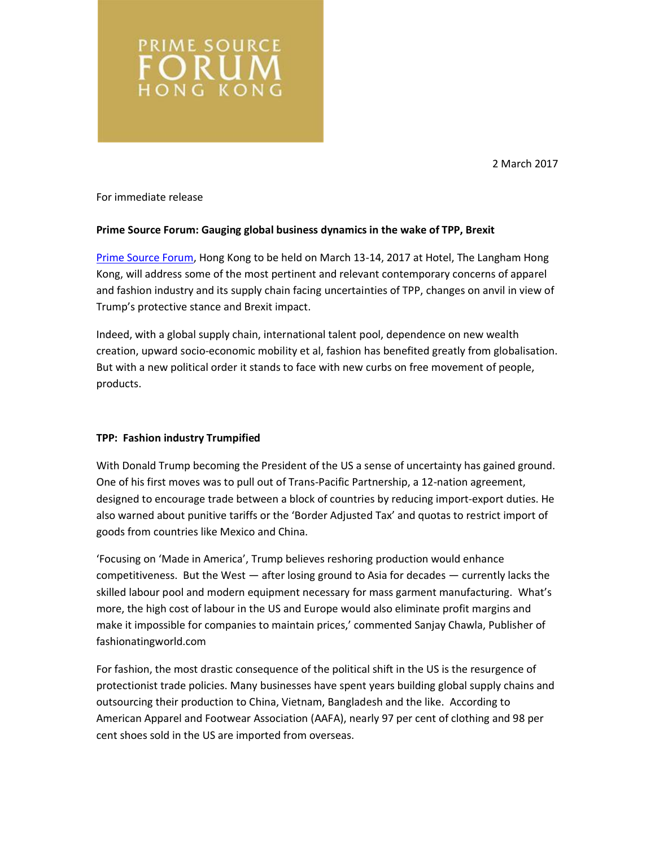2 March 2017

For immediate release

**PRIME SOURCE** ORUN **HONG KONG** 

# **Prime Source Forum: Gauging global business dynamics in the wake of TPP, Brexit**

[Prime Source Forum,](http://www.primesourceforum.com/) Hong Kong to be held on March 13-14, 2017 at Hotel, The Langham Hong Kong, will address some of the most pertinent and relevant contemporary concerns of apparel and fashion industry and its supply chain facing uncertainties of TPP, changes on anvil in view of Trump's protective stance and Brexit impact.

Indeed, with a global supply chain, international talent pool, dependence on new wealth creation, upward socio-economic mobility et al, fashion has benefited greatly from globalisation. But with a new political order it stands to face with new curbs on free movement of people, products.

# **TPP: Fashion industry Trumpified**

With Donald Trump becoming the President of the US a sense of uncertainty has gained ground. One of his first moves was to pull out of Trans-Pacific Partnership, a 12-nation agreement, designed to encourage trade between a block of countries by reducing import-export duties. He also warned about punitive tariffs or the 'Border Adjusted Tax' and quotas to restrict import of goods from countries like Mexico and China.

'Focusing on 'Made in America', Trump believes reshoring production would enhance competitiveness. But the West — after losing ground to Asia for decades — currently lacks the skilled labour pool and modern equipment necessary for mass garment manufacturing. What's more, the high cost of labour in the US and Europe would also eliminate profit margins and make it impossible for companies to maintain prices,' commented Sanjay Chawla, Publisher of fashionatingworld.com

For fashion, the most drastic consequence of the political shift in the US is the resurgence of protectionist trade policies. Many businesses have spent years building global supply chains and outsourcing their production to China, Vietnam, Bangladesh and the like. According to American Apparel and Footwear Association (AAFA), nearly 97 per cent of clothing and 98 per cent shoes sold in the US are imported from overseas.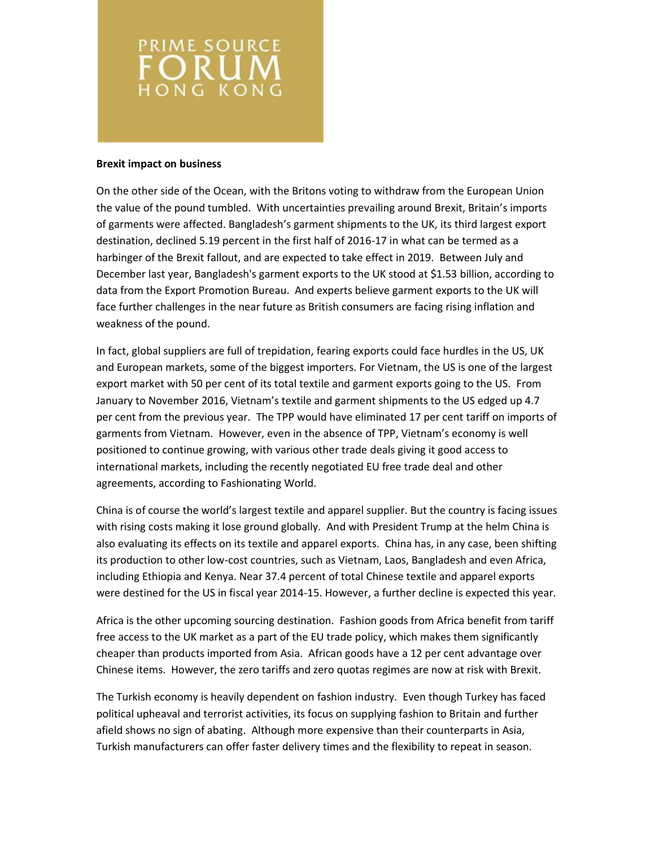

## **Brexit impact on business**

On the other side of the Ocean, with the Britons voting to withdraw from the European Union the value of the pound tumbled. With uncertainties prevailing around Brexit, Britain's imports of garments were affected. Bangladesh's garment shipments to the UK, its third largest export destination, declined 5.19 percent in the first half of 2016-17 in what can be termed as a harbinger of the Brexit fallout, and are expected to take effect in 2019. Between July and December last year, Bangladesh's garment exports to the UK stood at \$1.53 billion, according to data from the Export Promotion Bureau. And experts believe garment exports to the UK will face further challenges in the near future as British consumers are facing rising inflation and weakness of the pound.

In fact, global suppliers are full of trepidation, fearing exports could face hurdles in the US, UK and European markets, some of the biggest importers. For Vietnam, the US is one of the largest export market with 50 per cent of its total textile and garment exports going to the US. From January to November 2016, Vietnam's textile and garment shipments to the US edged up 4.7 per cent from the previous year. The TPP would have eliminated 17 per cent tariff on imports of garments from Vietnam. However, even in the absence of TPP, Vietnam's economy is well positioned to continue growing, with various other trade deals giving it good access to international markets, including the recently negotiated EU free trade deal and other agreements, according to Fashionating World.

China is of course the world's largest textile and apparel supplier. But the country is facing issues with rising costs making it lose ground globally. And with President Trump at the helm China is also evaluating its effects on its textile and apparel exports. China has, in any case, been shifting its production to other low-cost countries, such as Vietnam, Laos, Bangladesh and even Africa, including Ethiopia and Kenya. Near 37.4 percent of total Chinese textile and apparel exports were destined for the US in fiscal year 2014-15. However, a further decline is expected this year.

Africa is the other upcoming sourcing destination. Fashion goods from Africa benefit from tariff free access to the UK market as a part of the EU trade policy, which makes them significantly cheaper than products imported from Asia. African goods have a 12 per cent advantage over Chinese items. However, the zero tariffs and zero quotas regimes are now at risk with Brexit.

The Turkish economy is heavily dependent on fashion industry. Even though Turkey has faced political upheaval and terrorist activities, its focus on supplying fashion to Britain and further afield shows no sign of abating. Although more expensive than their counterparts in Asia, Turkish manufacturers can offer faster delivery times and the flexibility to repeat in season.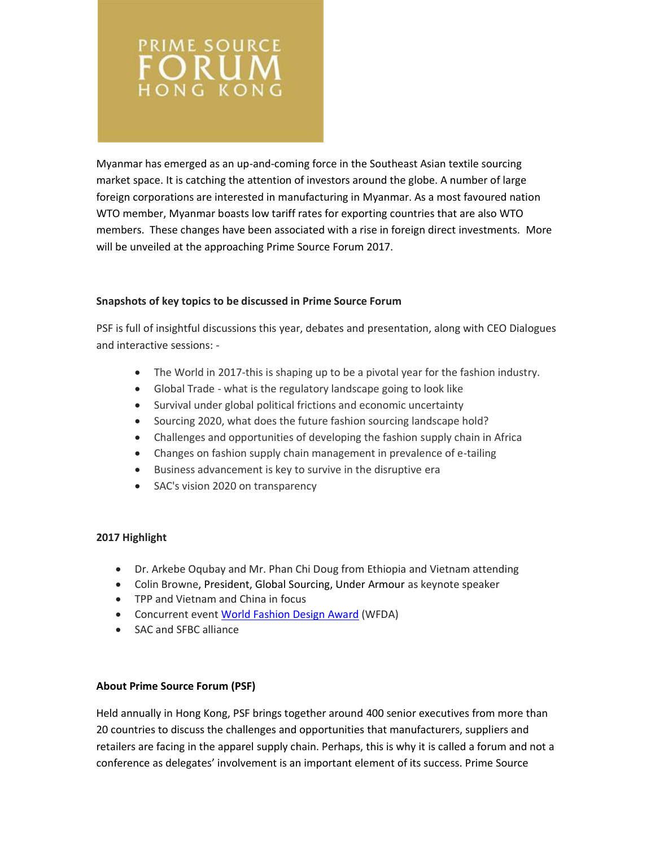

Myanmar has emerged as an up-and-coming force in the Southeast Asian textile sourcing market space. It is catching the attention of investors around the globe. A number of large foreign corporations are interested in manufacturing in Myanmar. As a most favoured nation WTO member, Myanmar boasts low tariff rates for exporting countries that are also WTO members. These changes have been associated with a rise in foreign direct investments. More will be unveiled at the approaching Prime Source Forum 2017.

# **Snapshots of key topics to be discussed in Prime Source Forum**

PSF is full of insightful discussions this year, debates and presentation, along with CEO Dialogues and interactive sessions: -

- The World in 2017-this is shaping up to be a pivotal year for the fashion industry.
- Global Trade what is the regulatory landscape going to look like
- Survival under global political frictions and economic uncertainty
- Sourcing 2020, what does the future fashion sourcing landscape hold?
- Challenges and opportunities of developing the fashion supply chain in Africa
- Changes on fashion supply chain management in prevalence of e-tailing
- Business advancement is key to survive in the disruptive era
- SAC's vision 2020 on transparency

# **2017 Highlight**

- Dr. Arkebe Oqubay and Mr. Phan Chi Doug from Ethiopia and Vietnam attending
- Colin Browne, President, Global Sourcing, Under Armour as keynote speaker
- TPP and Vietnam and China in focus
- Concurrent event [World Fashion Design Award](http://www.wfda-competition.com/) (WFDA)
- SAC and SFBC alliance

# **About Prime Source Forum (PSF)**

Held annually in Hong Kong, PSF brings together around 400 senior executives from more than 20 countries to discuss the challenges and opportunities that manufacturers, suppliers and retailers are facing in the apparel supply chain. Perhaps, this is why it is called a forum and not a conference as delegates' involvement is an important element of its success. Prime Source